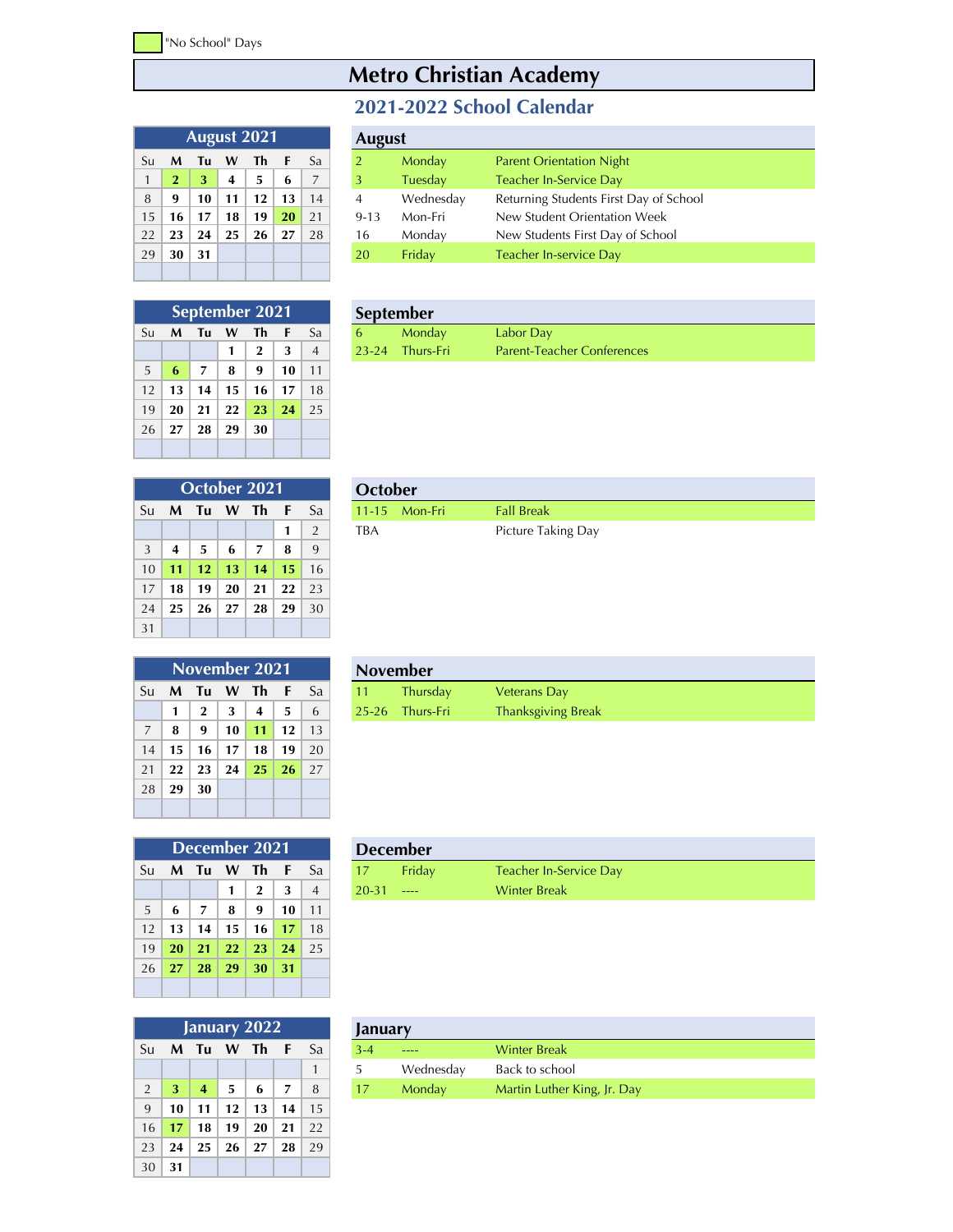## **Metro Christian Academy**

## **2021-2022 School Calendar**

|              | <b>August 2021</b> | <b>August</b> |    |    |    |    |                |   |
|--------------|--------------------|---------------|----|----|----|----|----------------|---|
| Su           | M                  | Tu            | W  | Th | F  | Sa | $\overline{2}$ | Ν |
| $\mathbf{1}$ | $\mathbf{2}$       | 3             | 4  | 5  | 6  | 7  | 3              |   |
| 8            | 9                  | 10            | 11 | 12 | 13 | 14 | 4              |   |
| 15           | 16                 | 17            | 18 | 19 | 20 | 21 | $9 - 13$       | ۸ |
| 22           | 23                 | 24            | 25 | 26 | 27 | 28 | 16             | ۸ |
| 29           | 30                 | 31            |    |    |    |    | 20             |   |
|              |                    |               |    |    |    |    |                |   |

|    | August 2021 |    |    |    |    |    | <b>August</b> |           |                                        |
|----|-------------|----|----|----|----|----|---------------|-----------|----------------------------------------|
| Su | M           | Τu | W  | Th |    | Sa |               | Monday    | <b>Parent Orientation Night</b>        |
|    |             | 3  | 4  | 5  | 6  |    | 3             | Tuesday   | Teacher In-Service Day                 |
| 8  | 9           | 10 | 11 | 12 | 13 | 14 | 4             | Wednesday | Returning Students First Day of School |
| 15 | 16          | 17 | 18 | 19 | 20 | 21 | $9 - 13$      | Mon-Fri   | New Student Orientation Week           |
| 22 | 23          | 24 | 25 | 26 | 27 | 28 | 16            | Monday    | New Students First Day of School       |
| 29 | 30          | 31 |    |    |    |    | 20            | Friday    | Teacher In-service Day                 |
|    |             |    |    |    |    |    |               |           |                                        |

| September 2021 |    |                |    |              |    |                |  |  |  |  |
|----------------|----|----------------|----|--------------|----|----------------|--|--|--|--|
| Su             | M  | Tu             | W  | Τh           | F  | Sa             |  |  |  |  |
|                |    |                | 1  | $\mathbf{2}$ | 3  | $\overline{4}$ |  |  |  |  |
| 5              | 6  | $\overline{7}$ | 8  | 9            | 10 | 11             |  |  |  |  |
| 12             | 13 | 14             | 15 | 16           | 17 | 18             |  |  |  |  |
| 19             | 20 | 21             | 22 | 23           | 24 | 25             |  |  |  |  |
| 26             | 27 | 28             | 29 | 30           |    |                |  |  |  |  |
|                |    |                |    |              |    |                |  |  |  |  |

| September 2021 |                  |  |      |  |                | <b>September</b> |                                   |
|----------------|------------------|--|------|--|----------------|------------------|-----------------------------------|
|                | Su <b>M Tu W</b> |  | Th F |  | - Sa           | Mondav           | Labor Day                         |
|                |                  |  |      |  | $\overline{4}$ | 23-24 Thurs-Fri  | <b>Parent-Teacher Conferences</b> |

|    | October 2021   |                 |           |                |    |                |  |  |  |  |  |
|----|----------------|-----------------|-----------|----------------|----|----------------|--|--|--|--|--|
| Su |                | M Tu            | - Th<br>W |                |    | Sa             |  |  |  |  |  |
|    |                |                 |           |                | 1  | $\overline{2}$ |  |  |  |  |  |
| 3  | $\overline{4}$ | -5              | 6         | $\overline{7}$ | 8  | 9              |  |  |  |  |  |
| 10 | 11             | 12 <sup>2</sup> | 13        | 14             | 15 | 16             |  |  |  |  |  |
| 17 | 18             | 19              | 20        | 21             | 22 | 23             |  |  |  |  |  |
| 24 | 25             | 26              | 27        | 28             | 29 | 30             |  |  |  |  |  |
| 31 |                |                 |           |                |    |                |  |  |  |  |  |

|               | October 2021 |  |            |                |  |                           | October |                 |                    |
|---------------|--------------|--|------------|----------------|--|---------------------------|---------|-----------------|--------------------|
|               |              |  |            |                |  | Su <b>M Tu W Th F</b> Sal |         | $11-15$ Mon-Fri | <b>Fall Break</b>  |
|               |              |  |            |                |  |                           | TBA     |                 | Picture Taking Day |
| $\mathcal{D}$ |              |  | $\epsilon$ | $\overline{ }$ |  |                           |         |                 |                    |

|    | November 2021 |              |    |     |     |    |  |  |  |  |  |  |
|----|---------------|--------------|----|-----|-----|----|--|--|--|--|--|--|
| Su | M             | Tu           | W  | Th  | F   | Sa |  |  |  |  |  |  |
|    | 1             | $\mathbf{2}$ | 3  | 4   | 5   | 6  |  |  |  |  |  |  |
| 7  | 8             | 9            | 10 | 11  | 12  | 13 |  |  |  |  |  |  |
| 14 | 15            | 16           | 17 | 18  | 19  | 20 |  |  |  |  |  |  |
| 21 | 22            | 23           | 24 | -25 | -26 | 27 |  |  |  |  |  |  |
| 28 | 29            | 30           |    |     |     |    |  |  |  |  |  |  |
|    |               |              |    |     |     |    |  |  |  |  |  |  |

|  | November 2021                          |  |                           | <b>November</b> |                 |                           |  |  |  |
|--|----------------------------------------|--|---------------------------|-----------------|-----------------|---------------------------|--|--|--|
|  |                                        |  | Su <b>M Tu W Th F</b> Sal |                 | <b>Thursdav</b> | <b>Veterans Day</b>       |  |  |  |
|  | $1 \mid 2 \mid 3 \mid 4 \mid 5 \mid 6$ |  |                           |                 | 25-26 Thurs-Fri | <b>Thanksgiving Break</b> |  |  |  |

|    | <b>December 2021</b> |                 |            |              |     |                |  |  |  |  |  |
|----|----------------------|-----------------|------------|--------------|-----|----------------|--|--|--|--|--|
| Su | M                    | Tu              | W          | - Th         | F   | Sa             |  |  |  |  |  |
|    |                      |                 | 1          | $\mathbf{2}$ | 3   | $\overline{4}$ |  |  |  |  |  |
| 5  | 6                    | 7               | 8          | 9            | 10  | 11             |  |  |  |  |  |
| 12 | 13                   | 14 <sup>1</sup> | 15         | 16           | 17  | 18             |  |  |  |  |  |
| 19 | 20                   | 21              | <b>22</b>  | 23           | 24  | 25             |  |  |  |  |  |
| 26 |                      | $27 \mid 28$    | $\vert$ 29 | - 30         | -31 |                |  |  |  |  |  |
|    |                      |                 |            |              |     |                |  |  |  |  |  |

| January 2022   |    |                |    |    |     |    |  |  |  |  |  |
|----------------|----|----------------|----|----|-----|----|--|--|--|--|--|
| Su             | M  | Tu W Th        |    |    | - F | Sa |  |  |  |  |  |
|                |    |                |    |    |     | 1  |  |  |  |  |  |
| $\overline{2}$ | 3  | $\overline{4}$ | 5  | 6  | 7   | 8  |  |  |  |  |  |
| 9              | 10 | 11             | 12 | 13 | 14  | 15 |  |  |  |  |  |
| 16             | 17 | 18             | 19 | 20 | 21  | 22 |  |  |  |  |  |
| 23             | 24 | 25             | 26 | 27 | 28  | 29 |  |  |  |  |  |
| 30             | 31 |                |    |    |     |    |  |  |  |  |  |

|                           |  | December 2021 |  |           | <b>December</b> |                        |  |  |  |
|---------------------------|--|---------------|--|-----------|-----------------|------------------------|--|--|--|
| Su <b>M Tu W Th F</b> Sal |  |               |  |           | Fridav          | Teacher In-Service Day |  |  |  |
|                           |  | $\mathbf{p}$  |  | $20 - 31$ |                 | <b>Winter Break</b>    |  |  |  |

| January 2022 |   |    |          |  |              | January |           |                             |
|--------------|---|----|----------|--|--------------|---------|-----------|-----------------------------|
| Su           | M | Tu | <b>W</b> |  | Sa <i>Sa</i> | $3 - 4$ | ----      | <b>Winter Break</b>         |
|              |   |    |          |  |              |         | Wednesday | Back to school              |
|              |   |    |          |  |              |         | Monday    | Martin Luther King, Jr. Day |